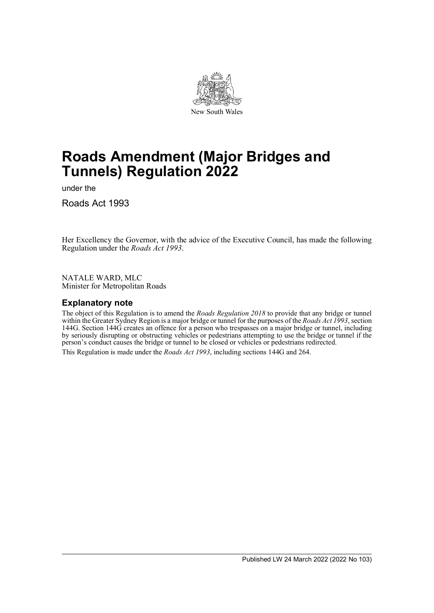

# **Roads Amendment (Major Bridges and Tunnels) Regulation 2022**

under the

Roads Act 1993

Her Excellency the Governor, with the advice of the Executive Council, has made the following Regulation under the *Roads Act 1993*.

NATALE WARD, MLC Minister for Metropolitan Roads

### **Explanatory note**

The object of this Regulation is to amend the *Roads Regulation 2018* to provide that any bridge or tunnel within the Greater Sydney Region is a major bridge or tunnel for the purposes of the *Roads Act 1993*, section 144G. Section 144G creates an offence for a person who trespasses on a major bridge or tunnel, including by seriously disrupting or obstructing vehicles or pedestrians attempting to use the bridge or tunnel if the person's conduct causes the bridge or tunnel to be closed or vehicles or pedestrians redirected. This Regulation is made under the *Roads Act 1993*, including sections 144G and 264.